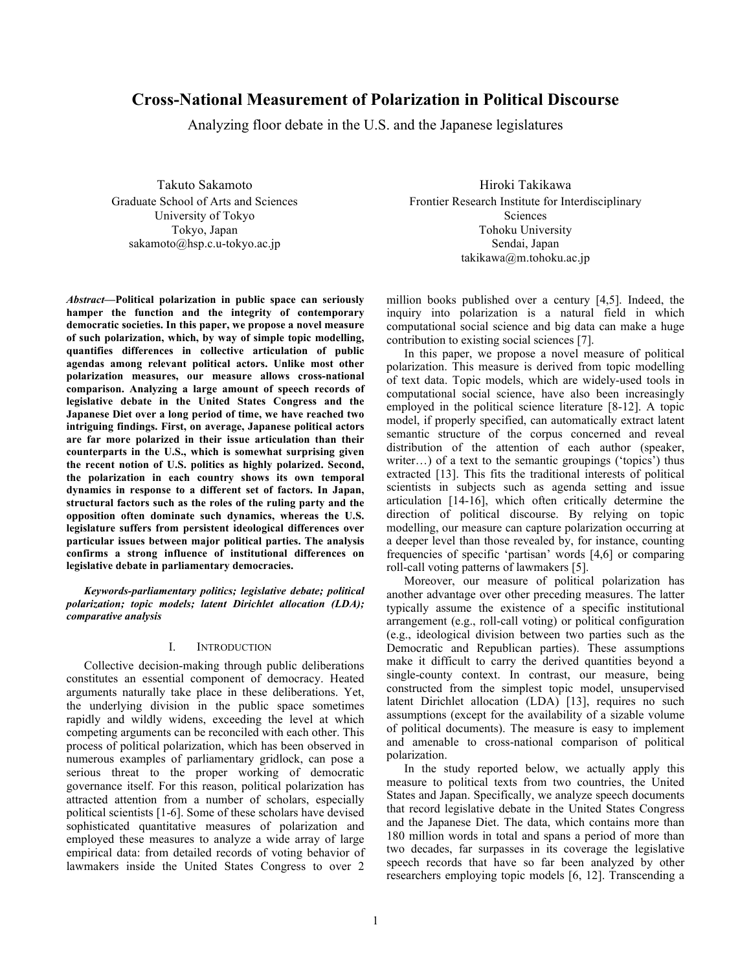# **Cross-National Measurement of Polarization in Political Discourse**

Analyzing floor debate in the U.S. and the Japanese legislatures

Takuto Sakamoto Graduate School of Arts and Sciences University of Tokyo Tokyo, Japan sakamoto@hsp.c.u-tokyo.ac.jp

*Abstract***—Political polarization in public space can seriously hamper the function and the integrity of contemporary democratic societies. In this paper, we propose a novel measure of such polarization, which, by way of simple topic modelling, quantifies differences in collective articulation of public agendas among relevant political actors. Unlike most other polarization measures, our measure allows cross-national comparison. Analyzing a large amount of speech records of legislative debate in the United States Congress and the Japanese Diet over a long period of time, we have reached two intriguing findings. First, on average, Japanese political actors are far more polarized in their issue articulation than their counterparts in the U.S., which is somewhat surprising given the recent notion of U.S. politics as highly polarized. Second, the polarization in each country shows its own temporal dynamics in response to a different set of factors. In Japan, structural factors such as the roles of the ruling party and the opposition often dominate such dynamics, whereas the U.S. legislature suffers from persistent ideological differences over particular issues between major political parties. The analysis confirms a strong influence of institutional differences on legislative debate in parliamentary democracies.**

*Keywords-parliamentary politics; legislative debate; political polarization; topic models; latent Dirichlet allocation (LDA); comparative analysis*

### I. INTRODUCTION

Collective decision-making through public deliberations constitutes an essential component of democracy. Heated arguments naturally take place in these deliberations. Yet, the underlying division in the public space sometimes rapidly and wildly widens, exceeding the level at which competing arguments can be reconciled with each other. This process of political polarization, which has been observed in numerous examples of parliamentary gridlock, can pose a serious threat to the proper working of democratic governance itself. For this reason, political polarization has attracted attention from a number of scholars, especially political scientists [1-6]. Some of these scholars have devised sophisticated quantitative measures of polarization and employed these measures to analyze a wide array of large empirical data: from detailed records of voting behavior of lawmakers inside the United States Congress to over 2

Hiroki Takikawa Frontier Research Institute for Interdisciplinary Sciences Tohoku University Sendai, Japan takikawa@m.tohoku.ac.jp

million books published over a century [4,5]. Indeed, the inquiry into polarization is a natural field in which computational social science and big data can make a huge contribution to existing social sciences [7].

In this paper, we propose a novel measure of political polarization. This measure is derived from topic modelling of text data. Topic models, which are widely-used tools in computational social science, have also been increasingly employed in the political science literature [8-12]. A topic model, if properly specified, can automatically extract latent semantic structure of the corpus concerned and reveal distribution of the attention of each author (speaker, writer…) of a text to the semantic groupings ('topics') thus extracted [13]. This fits the traditional interests of political scientists in subjects such as agenda setting and issue articulation [14-16], which often critically determine the direction of political discourse. By relying on topic modelling, our measure can capture polarization occurring at a deeper level than those revealed by, for instance, counting frequencies of specific 'partisan' words [4,6] or comparing roll-call voting patterns of lawmakers [5].

Moreover, our measure of political polarization has another advantage over other preceding measures. The latter typically assume the existence of a specific institutional arrangement (e.g., roll-call voting) or political configuration (e.g., ideological division between two parties such as the Democratic and Republican parties). These assumptions make it difficult to carry the derived quantities beyond a single-county context. In contrast, our measure, being constructed from the simplest topic model, unsupervised latent Dirichlet allocation (LDA) [13], requires no such assumptions (except for the availability of a sizable volume of political documents). The measure is easy to implement and amenable to cross-national comparison of political polarization.

In the study reported below, we actually apply this measure to political texts from two countries, the United States and Japan. Specifically, we analyze speech documents that record legislative debate in the United States Congress and the Japanese Diet. The data, which contains more than 180 million words in total and spans a period of more than two decades, far surpasses in its coverage the legislative speech records that have so far been analyzed by other researchers employing topic models [6, 12]. Transcending a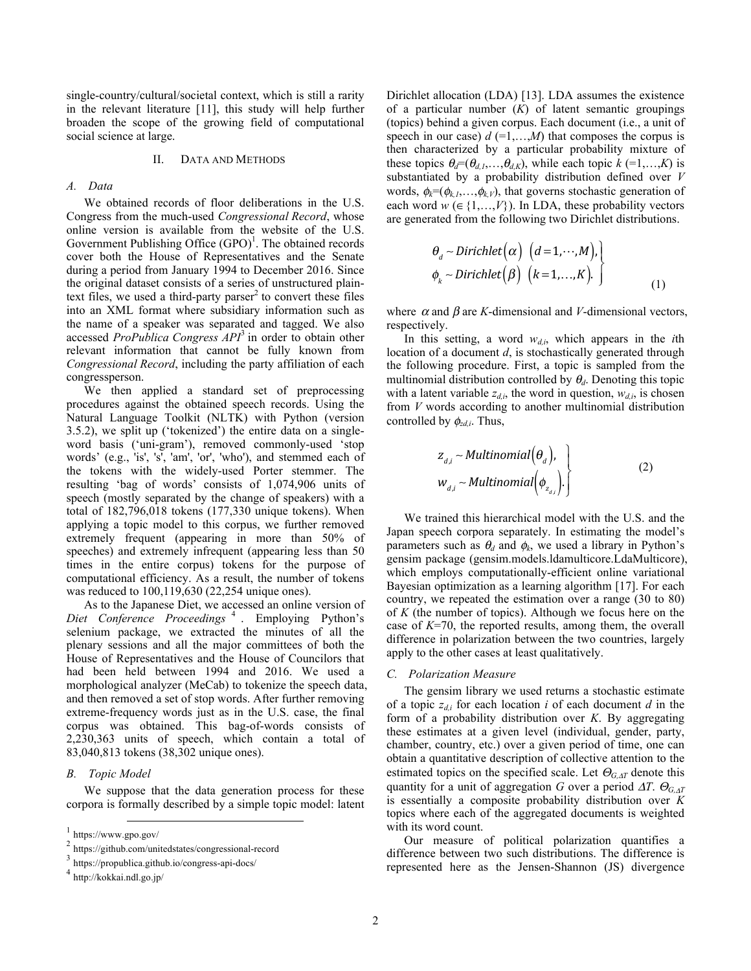single-country/cultural/societal context, which is still a rarity in the relevant literature [11], this study will help further broaden the scope of the growing field of computational social science at large.

#### II. DATA AND METHODS

#### *A. Data*

We obtained records of floor deliberations in the U.S. Congress from the much-used *Congressional Record*, whose online version is available from the website of the U.S. Government Publishing Office  $(GPO)^1$ . The obtained records cover both the House of Representatives and the Senate during a period from January 1994 to December 2016. Since the original dataset consists of a series of unstructured plaintext files, we used a third-party parser $2$  to convert these files into an XML format where subsidiary information such as the name of a speaker was separated and tagged. We also accessed *ProPublica Congress API*<sup>3</sup> in order to obtain other relevant information that cannot be fully known from *Congressional Record*, including the party affiliation of each congressperson.

We then applied a standard set of preprocessing procedures against the obtained speech records. Using the Natural Language Toolkit (NLTK) with Python (version 3.5.2), we split up ('tokenized') the entire data on a singleword basis ('uni-gram'), removed commonly-used 'stop words' (e.g., 'is', 's', 'am', 'or', 'who'), and stemmed each of the tokens with the widely-used Porter stemmer. The resulting 'bag of words' consists of 1,074,906 units of speech (mostly separated by the change of speakers) with a total of 182,796,018 tokens (177,330 unique tokens). When applying a topic model to this corpus, we further removed extremely frequent (appearing in more than 50% of speeches) and extremely infrequent (appearing less than 50 times in the entire corpus) tokens for the purpose of computational efficiency. As a result, the number of tokens was reduced to 100,119,630 (22,254 unique ones).

As to the Japanese Diet, we accessed an online version of *Diet Conference Proceedings* <sup>4</sup> . Employing Python's selenium package, we extracted the minutes of all the plenary sessions and all the major committees of both the House of Representatives and the House of Councilors that had been held between 1994 and 2016. We used a morphological analyzer (MeCab) to tokenize the speech data, and then removed a set of stop words. After further removing extreme-frequency words just as in the U.S. case, the final corpus was obtained. This bag-of-words consists of 2,230,363 units of speech, which contain a total of 83,040,813 tokens (38,302 unique ones).

### *B. Topic Model*

We suppose that the data generation process for these corpora is formally described by a simple topic model: latent Dirichlet allocation (LDA) [13]. LDA assumes the existence of a particular number (*K*) of latent semantic groupings (topics) behind a given corpus. Each document (i.e., a unit of speech in our case)  $d$  (=1,...,*M*) that composes the corpus is then characterized by a particular probability mixture of these topics  $\theta_d = (\theta_{d,1}, \ldots, \theta_{d,K})$ , while each topic  $k (=1,\ldots,K)$  is substantiated by a probability distribution defined over *V* words,  $\phi_k = (\phi_{k,1}, \ldots, \phi_{k,V})$ , that governs stochastic generation of each word  $w \in \{1, \ldots, V\}$ ). In LDA, these probability vectors are generated from the following two Dirichlet distributions.

$$
\theta_{d} \sim Dirichlet(\alpha) \left(d = 1, \cdots, M\right),
$$
  
\n
$$
\phi_{k} \sim Dirichlet(\beta) \left(k = 1, \cdots, K\right).
$$
 (1)

where  $\alpha$  and  $\beta$  are *K*-dimensional and *V*-dimensional vectors, respectively.

In this setting, a word  $w_{d,i}$ , which appears in the *i*th location of a document *d*, is stochastically generated through the following procedure. First, a topic is sampled from the multinomial distribution controlled by  $\theta_d$ . Denoting this topic with a latent variable  $z_{d,i}$ , the word in question,  $w_{d,i}$ , is chosen from *V* words according to another multinomial distribution controlled by  $\phi_{zdi}$ . Thus,

$$
z_{d,i} \sim Multinomial(\theta_a),
$$
  
\n
$$
w_{d,i} \sim Multinomial(\phi_{z_{d,i}}).
$$
 (2)

We trained this hierarchical model with the U.S. and the Japan speech corpora separately. In estimating the model's parameters such as  $\theta_d$  and  $\phi_k$ , we used a library in Python's gensim package (gensim.models.ldamulticore.LdaMulticore), which employs computationally-efficient online variational Bayesian optimization as a learning algorithm [17]. For each country, we repeated the estimation over a range (30 to 80) of *K* (the number of topics). Although we focus here on the case of *K*=70, the reported results, among them, the overall difference in polarization between the two countries, largely apply to the other cases at least qualitatively.

#### *C. Polarization Measure*

The gensim library we used returns a stochastic estimate of a topic  $z_{di}$  for each location *i* of each document *d* in the form of a probability distribution over *K*. By aggregating these estimates at a given level (individual, gender, party, chamber, country, etc.) over a given period of time, one can obtain a quantitative description of collective attention to the estimated topics on the specified scale. Let  $\Theta_{G,\Lambda}$  denote this quantity for a unit of aggregation *G* over a period <sup>Δ</sup>*T*. <sup>Θ</sup>*G,*Δ*<sup>T</sup>* is essentially a composite probability distribution over *K* topics where each of the aggregated documents is weighted with its word count.

Our measure of political polarization quantifies a difference between two such distributions. The difference is represented here as the Jensen-Shannon (JS) divergence

 <sup>1</sup> https://www.gpo.gov/

<sup>2</sup> https://github.com/unitedstates/congressional-record

<sup>3</sup> https://propublica.github.io/congress-api-docs/

http://kokkai.ndl.go.jp/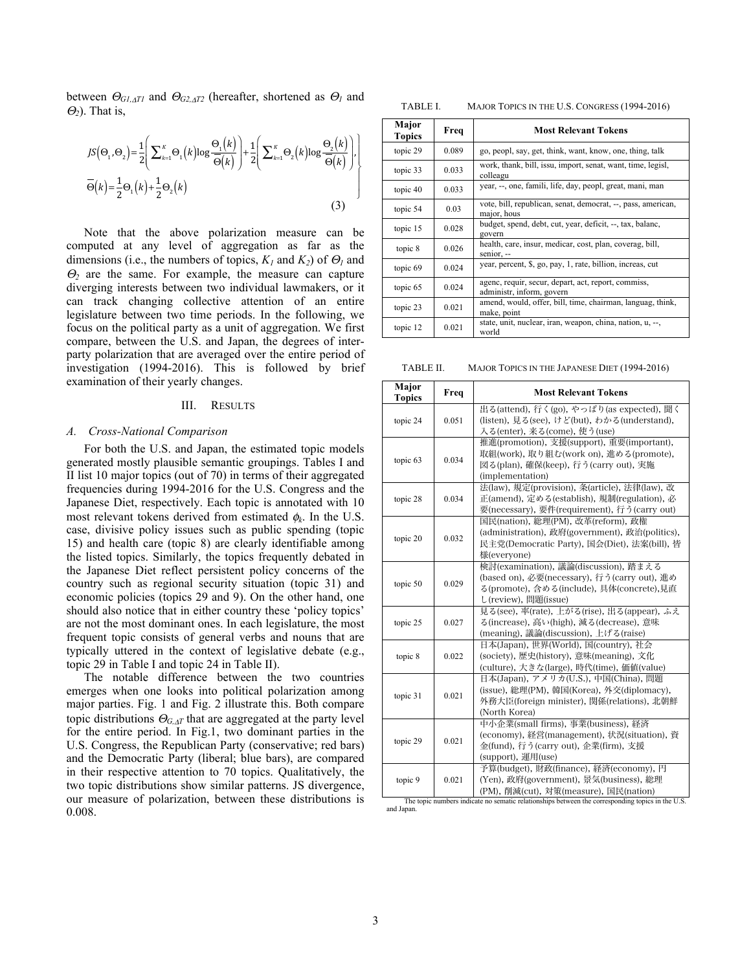between  $\Theta_{GLATI}$  and  $\Theta_{G2,AT2}$  (hereafter, shortened as  $\Theta_I$  and <sup>Θ</sup>*2*). That is,

$$
JS(\Theta_1, \Theta_2) = \frac{1}{2} \left( \sum_{k=1}^{K} \Theta_1(k) \log \frac{\Theta_1(k)}{\Theta(k)} \right) + \frac{1}{2} \left( \sum_{k=1}^{K} \Theta_2(k) \log \frac{\Theta_2(k)}{\Theta(k)} \right),
$$
  

$$
\overline{\Theta}(k) = \frac{1}{2} \Theta_1(k) + \frac{1}{2} \Theta_2(k)
$$
 (3)

Note that the above polarization measure can be computed at any level of aggregation as far as the dimensions (i.e., the numbers of topics,  $K_l$  and  $K_2$ ) of  $\Theta_l$  and <sup>Θ</sup>*<sup>2</sup>* are the same. For example, the measure can capture diverging interests between two individual lawmakers, or it can track changing collective attention of an entire legislature between two time periods. In the following, we focus on the political party as a unit of aggregation. We first compare, between the U.S. and Japan, the degrees of interparty polarization that are averaged over the entire period of investigation (1994-2016). This is followed by brief examination of their yearly changes.

### III. RESULTS

## *A. Cross-National Comparison*

For both the U.S. and Japan, the estimated topic models generated mostly plausible semantic groupings. Tables I and II list 10 major topics (out of 70) in terms of their aggregated frequencies during 1994-2016 for the U.S. Congress and the Japanese Diet, respectively. Each topic is annotated with 10 most relevant tokens derived from estimated  $\phi_k$ . In the U.S. case, divisive policy issues such as public spending (topic 15) and health care (topic 8) are clearly identifiable among the listed topics. Similarly, the topics frequently debated in the Japanese Diet reflect persistent policy concerns of the country such as regional security situation (topic 31) and economic policies (topics 29 and 9). On the other hand, one should also notice that in either country these 'policy topics' are not the most dominant ones. In each legislature, the most frequent topic consists of general verbs and nouns that are typically uttered in the context of legislative debate (e.g., topic 29 in Table I and topic 24 in Table II).

The notable difference between the two countries emerges when one looks into political polarization among major parties. Fig. 1 and Fig. 2 illustrate this. Both compare topic distributions  $\Theta_{G,\Delta T}$  that are aggregated at the party level for the entire period. In Fig.1, two dominant parties in the U.S. Congress, the Republican Party (conservative; red bars) and the Democratic Party (liberal; blue bars), are compared in their respective attention to 70 topics. Qualitatively, the two topic distributions show similar patterns. JS divergence, our measure of polarization, between these distributions is 0.008.

TABLE I. MAJOR TOPICS IN THE U.S. CONGRESS (1994-2016)

| Major<br><b>Topics</b> | Freq  | <b>Most Relevant Tokens</b>                                                      |
|------------------------|-------|----------------------------------------------------------------------------------|
| topic 29               | 0.089 | go, peopl, say, get, think, want, know, one, thing, talk                         |
| topic 33               | 0.033 | work, thank, bill, issu, import, senat, want, time, legisl,<br>colleagu          |
| topic 40               | 0.033 | year, --, one, famili, life, day, peopl, great, mani, man                        |
| topic 54               | 0.03  | vote, bill, republican, senat, democrat, --, pass, american,<br>major, hous      |
| topic 15               | 0.028 | budget, spend, debt, cut, year, deficit, --, tax, balanc,<br>govern              |
| topic 8                | 0.026 | health, care, insur, medicar, cost, plan, coverag, bill,<br>$s$ enior, $-$       |
| topic 69               | 0.024 | year, percent, \$, go, pay, 1, rate, billion, increas, cut                       |
| topic 65               | 0.024 | agenc, requir, secur, depart, act, report, commiss,<br>administr, inform, govern |
| topic 23               | 0.021 | amend, would, offer, bill, time, chairman, languag, think,<br>make, point        |
| topic 12               | 0.021 | state, unit, nuclear, iran, weapon, china, nation, u, --,<br>world               |

TABLE II. MAJOR TOPICS IN THE JAPANESE DIET (1994-2016)

| Major<br><b>Topics</b> | Freq  | <b>Most Relevant Tokens</b>                                                                                                                                                                                                      |
|------------------------|-------|----------------------------------------------------------------------------------------------------------------------------------------------------------------------------------------------------------------------------------|
| topic 24               | 0.051 | 出る(attend), 行く(go), やっぱり(as expected), 聞く<br>(listen), 見る(see), けど(but), わかる(understand),<br>入る(enter), 来る(come), 使う(use)                                                                                                        |
| topic 63               | 0.034 | 推進(promotion), 支援(support), 重要(important),<br>取組(work), 取り組む(work on), 進める(promote),<br>図る(plan), 確保(keep), 行う(carry out), 実施<br>(implementation)                                                                                |
| topic 28               | 0.034 | 法(law), 規定(provision), 条(article), 法律(law), 改<br>正(amend), 定める(establish), 規制(regulation), 必<br>要(necessary), 要件(requirement), 行う(carry out)                                                                                     |
| topic 20               | 0.032 | 国民(nation), 総理(PM), 改革(reform), 政権<br>(administration), 政府(government), 政治(politics),<br>民主党(Democratic Party), 国会(Diet), 法案(bill), 皆<br>様(everyone)                                                                             |
| topic 50               | 0.029 | 検討(examination), 議論(discussion), 踏まえる<br>(based on), 必要(necessary), 行う(carry out), 進め<br>る(promote), 含める(include), 具体(concrete),見直<br>し(review), 問題(issue)                                                                       |
| topic 25               | 0.027 | 見る(see), 率(rate), 上がる(rise), 出る(appear), ふえ<br>る(increase), 高い(high), 減る(decrease), 意味<br>(meaning), 議論(discussion), 上げる(raise)                                                                                                  |
| topic 8                | 0.022 | 日本(Japan), 世界(World), 国(country), 社会<br>(society), 歴史(history), 意味(meaning), 文化<br>(culture), 大きな(large), 時代(time), 価値(value)                                                                                                    |
| topic 31               | 0.021 | 日本(Japan), アメリカ(U.S.), 中国(China), 問題<br>(issue), 総理(PM), 韓国(Korea), 外交(diplomacy),<br>外務大臣(foreign minister), 関係(relations), 北朝鮮<br>(North Korea)                                                                                |
| topic 29               | 0.021 | 中小企業(small firms), 事業(business), 経済<br>(economy), 経営(management), 状況(situation), 資<br>金(fund), 行う(carry out), 企業(firm), 支援<br>(support), 運用(use)                                                                                 |
| topic 9                | 0.021 | 予算(budget), 財政(finance), 経済(economy), 円<br>(Yen), 政府(government), 景気(business), 総理<br>(PM), 削減(cut), 対策(measure), 国民(nation)<br>The topic numbers indicate no sematic relationships between the corresponding topics in the U.S. |

and Japan.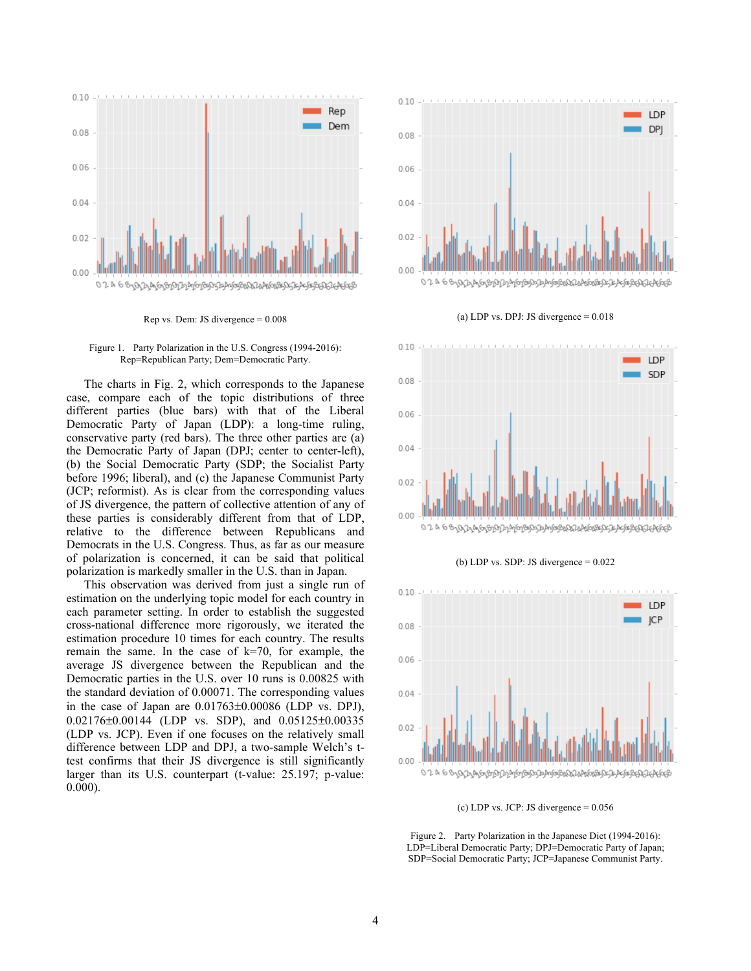

Rep vs. Dem: JS divergence = 0.008



The charts in Fig. 2, which corresponds to the Japanese case, compare each of the topic distributions of three different parties (blue bars) with that of the Liberal Democratic Party of Japan (LDP): a long-time ruling, conservative party (red bars). The three other parties are (a) the Democratic Party of Japan (DPJ; center to center-left), (b) the Social Democratic Party (SDP; the Socialist Party before 1996; liberal), and (c) the Japanese Communist Party (JCP; reformist). As is clear from the corresponding values of JS divergence, the pattern of collective attention of any of these parties is considerably different from that of LDP, relative to the difference between Republicans and Democrats in the U.S. Congress. Thus, as far as our measure of polarization is concerned, it can be said that political polarization is markedly smaller in the U.S. than in Japan.

This observation was derived from just a single run of estimation on the underlying topic model for each country in each parameter setting. In order to establish the suggested cross-national difference more rigorously, we iterated the estimation procedure 10 times for each country. The results remain the same. In the case of  $k=70$ , for example, the average JS divergence between the Republican and the Democratic parties in the U.S. over 10 runs is 0.00825 with the standard deviation of 0.00071. The corresponding values in the case of Japan are 0.01763±0.00086 (LDP vs. DPJ), 0.02176±0.00144 (LDP vs. SDP), and 0.05125±0.00335 (LDP vs. JCP). Even if one focuses on the relatively small difference between LDP and DPJ, a two-sample Welch's ttest confirms that their JS divergence is still significantly larger than its U.S. counterpart (t-value: 25.197; p-value: 0.000).



(a) LDP vs. DPJ: JS divergence  $= 0.018$ 



(b) LDP vs. SDP: JS divergence  $= 0.022$ 



(c) LDP vs. JCP: JS divergence  $= 0.056$ 

Figure 2. Party Polarization in the Japanese Diet (1994-2016): LDP=Liberal Democratic Party; DPJ=Democratic Party of Japan; SDP=Social Democratic Party; JCP=Japanese Communist Party.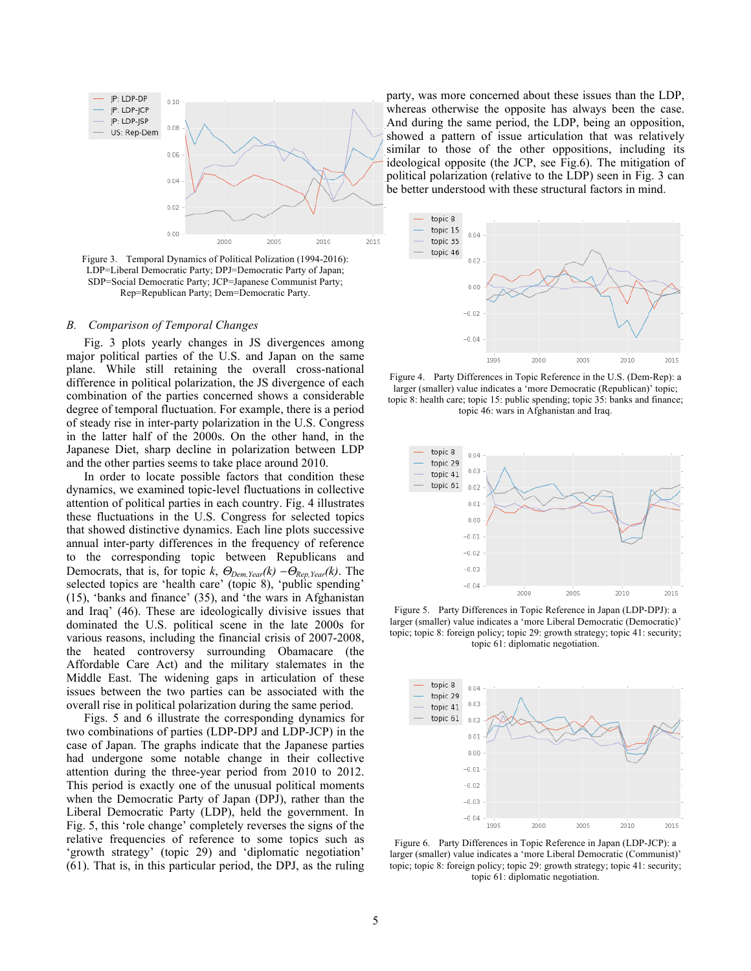

Figure 3. Temporal Dynamics of Political Polization (1994-2016): LDP=Liberal Democratic Party; DPJ=Democratic Party of Japan; SDP=Social Democratic Party; JCP=Japanese Communist Party; Rep=Republican Party; Dem=Democratic Party.

## *B. Comparison of Temporal Changes*

Fig. 3 plots yearly changes in JS divergences among major political parties of the U.S. and Japan on the same plane. While still retaining the overall cross-national difference in political polarization, the JS divergence of each combination of the parties concerned shows a considerable degree of temporal fluctuation. For example, there is a period of steady rise in inter-party polarization in the U.S. Congress in the latter half of the 2000s. On the other hand, in the Japanese Diet, sharp decline in polarization between LDP and the other parties seems to take place around 2010.

In order to locate possible factors that condition these dynamics, we examined topic-level fluctuations in collective attention of political parties in each country. Fig. 4 illustrates these fluctuations in the U.S. Congress for selected topics that showed distinctive dynamics. Each line plots successive annual inter-party differences in the frequency of reference to the corresponding topic between Republicans and Democrats, that is, for topic *k*, Θ*Dem,Year(k)* −Θ*Rep,Year(k)*. The selected topics are 'health care' (topic 8), 'public spending' (15), 'banks and finance' (35), and 'the wars in Afghanistan and Iraq' (46). These are ideologically divisive issues that dominated the U.S. political scene in the late 2000s for various reasons, including the financial crisis of 2007-2008, the heated controversy surrounding Obamacare (the Affordable Care Act) and the military stalemates in the Middle East. The widening gaps in articulation of these issues between the two parties can be associated with the overall rise in political polarization during the same period.

Figs. 5 and 6 illustrate the corresponding dynamics for two combinations of parties (LDP-DPJ and LDP-JCP) in the case of Japan. The graphs indicate that the Japanese parties had undergone some notable change in their collective attention during the three-year period from 2010 to 2012. This period is exactly one of the unusual political moments when the Democratic Party of Japan (DPJ), rather than the Liberal Democratic Party (LDP), held the government. In Fig. 5, this 'role change' completely reverses the signs of the relative frequencies of reference to some topics such as 'growth strategy' (topic 29) and 'diplomatic negotiation' (61). That is, in this particular period, the DPJ, as the ruling party, was more concerned about these issues than the LDP, whereas otherwise the opposite has always been the case. And during the same period, the LDP, being an opposition, showed a pattern of issue articulation that was relatively similar to those of the other oppositions, including its ideological opposite (the JCP, see Fig.6). The mitigation of political polarization (relative to the LDP) seen in Fig. 3 can be better understood with these structural factors in mind.



Figure 4. Party Differences in Topic Reference in the U.S. (Dem-Rep): a larger (smaller) value indicates a 'more Democratic (Republican)' topic; topic 8: health care; topic 15: public spending; topic 35: banks and finance; topic 46: wars in Afghanistan and Iraq.



Figure 5. Party Differences in Topic Reference in Japan (LDP-DPJ): a larger (smaller) value indicates a 'more Liberal Democratic (Democratic)' topic; topic 8: foreign policy; topic 29: growth strategy; topic 41: security; topic 61: diplomatic negotiation.



Figure 6. Party Differences in Topic Reference in Japan (LDP-JCP): a larger (smaller) value indicates a 'more Liberal Democratic (Communist)' topic; topic 8: foreign policy; topic 29: growth strategy; topic 41: security; topic 61: diplomatic negotiation.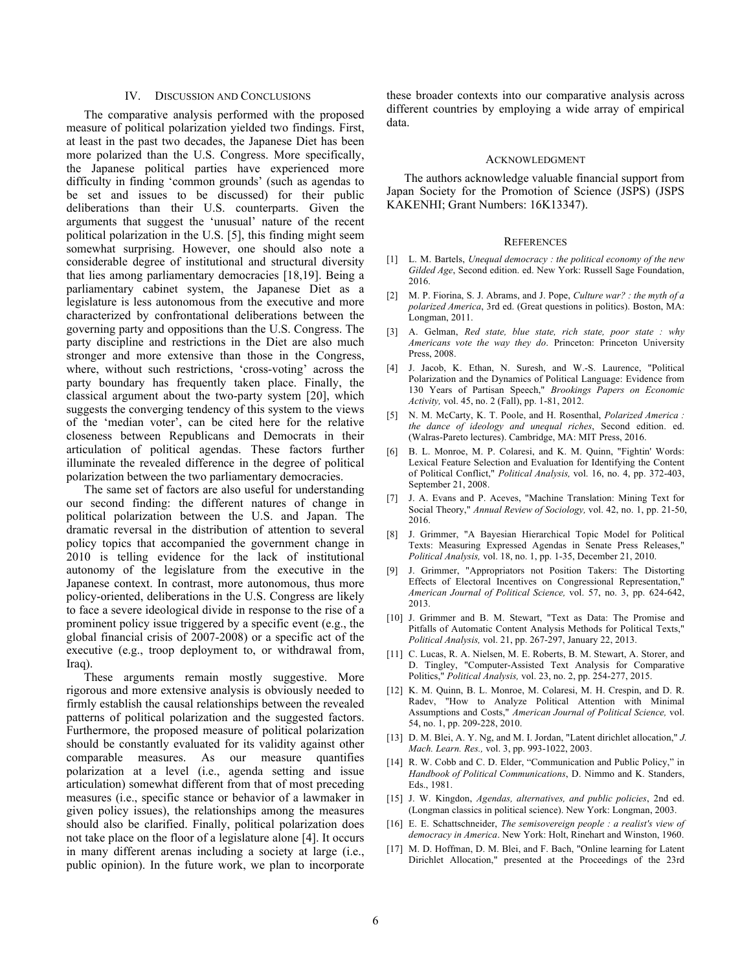### IV. DISCUSSION AND CONCLUSIONS

The comparative analysis performed with the proposed measure of political polarization yielded two findings. First, at least in the past two decades, the Japanese Diet has been more polarized than the U.S. Congress. More specifically, the Japanese political parties have experienced more difficulty in finding 'common grounds' (such as agendas to be set and issues to be discussed) for their public deliberations than their U.S. counterparts. Given the arguments that suggest the 'unusual' nature of the recent political polarization in the U.S. [5], this finding might seem somewhat surprising. However, one should also note a considerable degree of institutional and structural diversity that lies among parliamentary democracies [18,19]. Being a parliamentary cabinet system, the Japanese Diet as a legislature is less autonomous from the executive and more characterized by confrontational deliberations between the governing party and oppositions than the U.S. Congress. The party discipline and restrictions in the Diet are also much stronger and more extensive than those in the Congress, where, without such restrictions, 'cross-voting' across the party boundary has frequently taken place. Finally, the classical argument about the two-party system [20], which suggests the converging tendency of this system to the views of the 'median voter', can be cited here for the relative closeness between Republicans and Democrats in their articulation of political agendas. These factors further illuminate the revealed difference in the degree of political polarization between the two parliamentary democracies.

The same set of factors are also useful for understanding our second finding: the different natures of change in political polarization between the U.S. and Japan. The dramatic reversal in the distribution of attention to several policy topics that accompanied the government change in 2010 is telling evidence for the lack of institutional autonomy of the legislature from the executive in the Japanese context. In contrast, more autonomous, thus more policy-oriented, deliberations in the U.S. Congress are likely to face a severe ideological divide in response to the rise of a prominent policy issue triggered by a specific event (e.g., the global financial crisis of 2007-2008) or a specific act of the executive (e.g., troop deployment to, or withdrawal from, Iraq).

These arguments remain mostly suggestive. More rigorous and more extensive analysis is obviously needed to firmly establish the causal relationships between the revealed patterns of political polarization and the suggested factors. Furthermore, the proposed measure of political polarization should be constantly evaluated for its validity against other comparable measures. As our measure quantifies polarization at a level (i.e., agenda setting and issue articulation) somewhat different from that of most preceding measures (i.e., specific stance or behavior of a lawmaker in given policy issues), the relationships among the measures should also be clarified. Finally, political polarization does not take place on the floor of a legislature alone [4]. It occurs in many different arenas including a society at large (i.e., public opinion). In the future work, we plan to incorporate

these broader contexts into our comparative analysis across different countries by employing a wide array of empirical data.

#### ACKNOWLEDGMENT

The authors acknowledge valuable financial support from Japan Society for the Promotion of Science (JSPS) (JSPS KAKENHI; Grant Numbers: 16K13347).

#### **REFERENCES**

- [1] L. M. Bartels, *Unequal democracy : the political economy of the new Gilded Age*, Second edition. ed. New York: Russell Sage Foundation, 2016.
- [2] M. P. Fiorina, S. J. Abrams, and J. Pope, *Culture war? : the myth of a polarized America*, 3rd ed. (Great questions in politics). Boston, MA: Longman, 2011.
- [3] A. Gelman, *Red state, blue state, rich state, poor state : why Americans vote the way they do*. Princeton: Princeton University Press, 2008.
- [4] J. Jacob, K. Ethan, N. Suresh, and W.-S. Laurence, "Political Polarization and the Dynamics of Political Language: Evidence from 130 Years of Partisan Speech," *Brookings Papers on Economic Activity,* vol. 45, no. 2 (Fall), pp. 1-81, 2012.
- [5] N. M. McCarty, K. T. Poole, and H. Rosenthal, *Polarized America : the dance of ideology and unequal riches*, Second edition. ed. (Walras-Pareto lectures). Cambridge, MA: MIT Press, 2016.
- [6] B. L. Monroe, M. P. Colaresi, and K. M. Quinn, "Fightin' Words: Lexical Feature Selection and Evaluation for Identifying the Content of Political Conflict," *Political Analysis,* vol. 16, no. 4, pp. 372-403, September 21, 2008.
- [7] J. A. Evans and P. Aceves, "Machine Translation: Mining Text for Social Theory," *Annual Review of Sociology,* vol. 42, no. 1, pp. 21-50, 2016.
- [8] J. Grimmer, "A Bayesian Hierarchical Topic Model for Political Texts: Measuring Expressed Agendas in Senate Press Releases," *Political Analysis,* vol. 18, no. 1, pp. 1-35, December 21, 2010.
- [9] J. Grimmer, "Appropriators not Position Takers: The Distorting Effects of Electoral Incentives on Congressional Representation, *American Journal of Political Science,* vol. 57, no. 3, pp. 624-642, 2013.
- [10] J. Grimmer and B. M. Stewart, "Text as Data: The Promise and Pitfalls of Automatic Content Analysis Methods for Political Texts," *Political Analysis,* vol. 21, pp. 267-297, January 22, 2013.
- [11] C. Lucas, R. A. Nielsen, M. E. Roberts, B. M. Stewart, A. Storer, and D. Tingley, "Computer-Assisted Text Analysis for Comparative Politics," *Political Analysis,* vol. 23, no. 2, pp. 254-277, 2015.
- [12] K. M. Quinn, B. L. Monroe, M. Colaresi, M. H. Crespin, and D. R. Radev, "How to Analyze Political Attention with Minimal Assumptions and Costs," *American Journal of Political Science,* vol. 54, no. 1, pp. 209-228, 2010.
- [13] D. M. Blei, A. Y. Ng, and M. I. Jordan, "Latent dirichlet allocation," *J. Mach. Learn. Res.,* vol. 3, pp. 993-1022, 2003.
- [14] R. W. Cobb and C. D. Elder, "Communication and Public Policy," in *Handbook of Political Communications*, D. Nimmo and K. Standers, Eds., 1981.
- [15] J. W. Kingdon, *Agendas, alternatives, and public policies*, 2nd ed. (Longman classics in political science). New York: Longman, 2003.
- [16] E. E. Schattschneider, *The semisovereign people : a realist's view of democracy in America*. New York: Holt, Rinehart and Winston, 1960.
- [17] M. D. Hoffman, D. M. Blei, and F. Bach, "Online learning for Latent Dirichlet Allocation," presented at the Proceedings of the 23rd